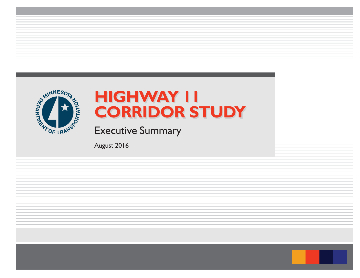

# **HIGHWAY 11HIGHWAY 11 CORRIDOR STUDY CORRIDOR STUDY**

Executive Summary

August 2016

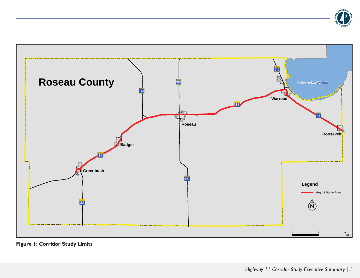



**Figure 1: Corridor Study Limits**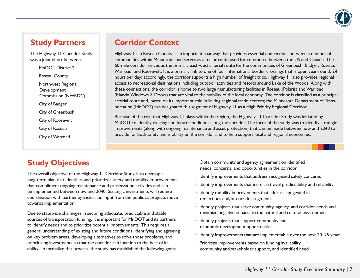

#### **Study Partners**

The Highway 11 Corridor Study was a joint effort between:

- · MnDOT District 2
- · Roseau County
- · Northwest Regional **Development** Commission (NWRDC)
- · City of Badger
- · City of Greenbush
- · City of Roosevelt
- · City of Roseau
- · City of Warroad

#### **Corridor Context**

Highway 11 in Roseau County is an important roadway that provides essential connections between a number of communities within Minnesota, and serves as a major route used for commerce between the US and Canada. The 60-mile corridor serves as the primary east-west arterial route for the communities of Greenbush, Badger, Roseau, Warroad, and Roosevelt. It is a primary link to one of four international border crossings that is open year-round, 24 hours per day; accordingly, the corridor supports a high number of freight trips. Highway 11 also provides regional access to recreational destinations including outdoor activities and resorts around Lake of the Woods. Along with these connections, the corridor is home to two large manufacturing facilities in Roseau (Polaris) and Warroad (Marvin Windows & Doors) that are vital to the stability of the local economy. The corridor is classified as a principal arterial route and, based on its important role in linking regional trade centers; the Minnesota Department of Transportation (MnDOT) has designated this segment of Highway 11 as a High Priority Regional Corridor.

Because of the role that Highway 11 plays within the region, the Highway 11 Corridor Study was initiated by MnDOT to identify existing and future conditions along the corridor. The focus of the study was to identify strategic improvements (along with ongoing maintenance and asset protection) that can be made between now and 2040 to provide for both safety and mobility on the corridor and to help support local and regional economies.

## **Study Objectives**

The overall objective of the Highway 11 Corridor Study is to develop a long-term plan that identifies and prioritizes safety and mobility improvements that compliment ongoing maintenance and preservation activities and can be implemented between now and 2040. Strategic investments will require coordination with partner agencies and input from the public as projects move towards implementation.

Due to statewide challenges in securing adequate, predictable and stable sources of transportation funding, it is important for MnDOT and its partners to identify needs and to prioritize potential improvements. This requires a general understanding of existing and future conditions, identifying and agreeing on key problem areas, developing alternatives to solve those problems, and prioritizing investments so that the corridor can function to the best of its ability. To formalize this process, the study has established the following goals:

- · Obtain community and agency agreement on identified needs, concerns, and opportunities in the corridor
- · Identify improvements that address recognized safety concerns
- · Identify improvements that increase travel predictability and reliability
- · Identify mobility improvements that address congested intersections and/or corridor segments
- · Identify projects that serve community, agency, and corridor needs and minimize negative impacts to the natural and cultural environment
- · Identify projects that support community and economic development opportunities
- · Identify improvements that are implementable over the next 20–25 years
- · Prioritize improvements based on funding availability, community and stakeholder support, and identified need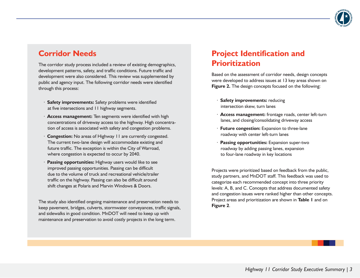

#### **Corridor Needs**

The corridor study process included a review of existing demographics, development patterns, safety, and traffic conditions. Future traffic and development were also considered. This review was supplemented by public and agency input. The following corridor needs were identified through this process:

- · **Safety improvements:** Safety problems were identified at five intersections and 11 highway segments.
- · **Access management:** Ten segments were identified with high concentrations of driveway access to the highway. High concentration of access is associated with safety and congestion problems.
- **Congestion:** No areas of Highway 11 are currently congested. The current two-lane design will accommodate existing and future traffic. The exception is within the City of Warroad, where congestion is expected to occur by 2040.
- **Passing opportunities:** Highway users would like to see improved passing opportunities. Passing can be difficult due to the volume of truck and recreational vehicle/trailer traffic on the highway. Passing can also be difficult around shift changes at Polaris and Marvin Windows & Doors.

The study also identified ongoing maintenance and preservation needs to keep pavement, bridges, culverts, stormwater conveyances, traffic signals, and sidewalks in good condition. MnDOT will need to keep up with maintenance and preservation to avoid costly projects in the long term.

# **Project Identification and Prioritization**

Based on the assessment of corridor needs, design concepts were developed to address issues at 13 key areas shown on **Figure 2.** The design concepts focused on the following:

- · **Safety improvements:** reducing intersection skew, turn lanes
- · **Access management:** frontage roads, center left-turn lanes, and closing/consolidating driveway access
- · **Future congestion:** Expansion to three-lane roadway with center left-turn lanes
- · **Passing opportunities:** Expansion super-two roadway by adding passing lanes, expansion to four-lane roadway in key locations

Projects were prioritized based on feedback from the public, study partners, and MnDOT staff. This feedback was used to categorize each recommended concept into three priority levels: A, B, and C. Concepts that address documented safety and congestion issues were ranked higher than other concepts. Project areas and prioritization are shown in **Table 1** and on **Figure 2**.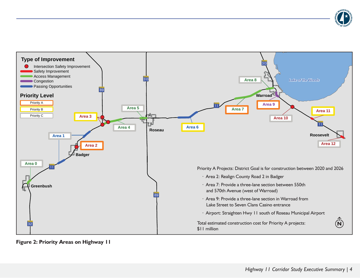



**Figure 2: Priority Areas on Highway 11**